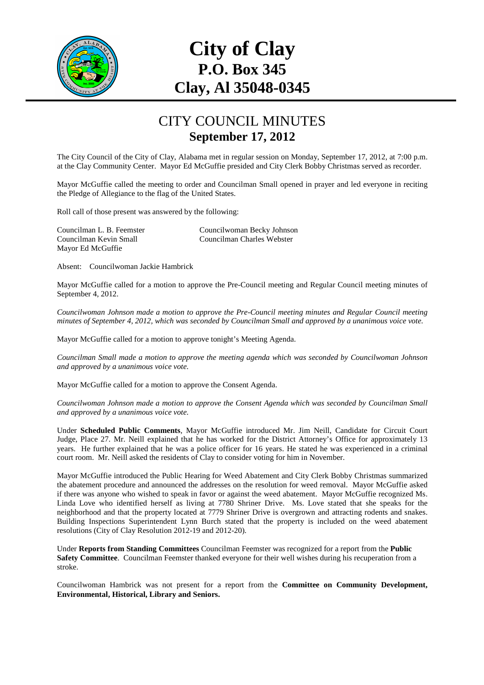

## **City of Clay P.O. Box 345 Clay, Al 35048-0345**

## CITY COUNCIL MINUTES **September 17, 2012**

The City Council of the City of Clay, Alabama met in regular session on Monday, September 17, 2012, at 7:00 p.m. at the Clay Community Center. Mayor Ed McGuffie presided and City Clerk Bobby Christmas served as recorder.

Mayor McGuffie called the meeting to order and Councilman Small opened in prayer and led everyone in reciting the Pledge of Allegiance to the flag of the United States.

Roll call of those present was answered by the following:

Mayor Ed McGuffie

Councilman L. B. Feemster Councilwoman Becky Johnson Councilman Kevin Small Councilman Charles Webster

Absent: Councilwoman Jackie Hambrick

Mayor McGuffie called for a motion to approve the Pre-Council meeting and Regular Council meeting minutes of September 4, 2012.

*Councilwoman Johnson made a motion to approve the Pre-Council meeting minutes and Regular Council meeting minutes of September 4, 2012, which was seconded by Councilman Small and approved by a unanimous voice vote.* 

Mayor McGuffie called for a motion to approve tonight's Meeting Agenda.

*Councilman Small made a motion to approve the meeting agenda which was seconded by Councilwoman Johnson and approved by a unanimous voice vote.* 

Mayor McGuffie called for a motion to approve the Consent Agenda.

*Councilwoman Johnson made a motion to approve the Consent Agenda which was seconded by Councilman Small and approved by a unanimous voice vote.* 

Under **Scheduled Public Comments**, Mayor McGuffie introduced Mr. Jim Neill, Candidate for Circuit Court Judge, Place 27. Mr. Neill explained that he has worked for the District Attorney's Office for approximately 13 years. He further explained that he was a police officer for 16 years. He stated he was experienced in a criminal court room. Mr. Neill asked the residents of Clay to consider voting for him in November.

Mayor McGuffie introduced the Public Hearing for Weed Abatement and City Clerk Bobby Christmas summarized the abatement procedure and announced the addresses on the resolution for weed removal. Mayor McGuffie asked if there was anyone who wished to speak in favor or against the weed abatement. Mayor McGuffie recognized Ms. Linda Love who identified herself as living at 7780 Shriner Drive. Ms. Love stated that she speaks for the neighborhood and that the property located at 7779 Shriner Drive is overgrown and attracting rodents and snakes. Building Inspections Superintendent Lynn Burch stated that the property is included on the weed abatement resolutions (City of Clay Resolution 2012-19 and 2012-20).

Under **Reports from Standing Committees** Councilman Feemster was recognized for a report from the **Public Safety Committee**. Councilman Feemster thanked everyone for their well wishes during his recuperation from a stroke.

Councilwoman Hambrick was not present for a report from the **Committee on Community Development, Environmental, Historical, Library and Seniors.**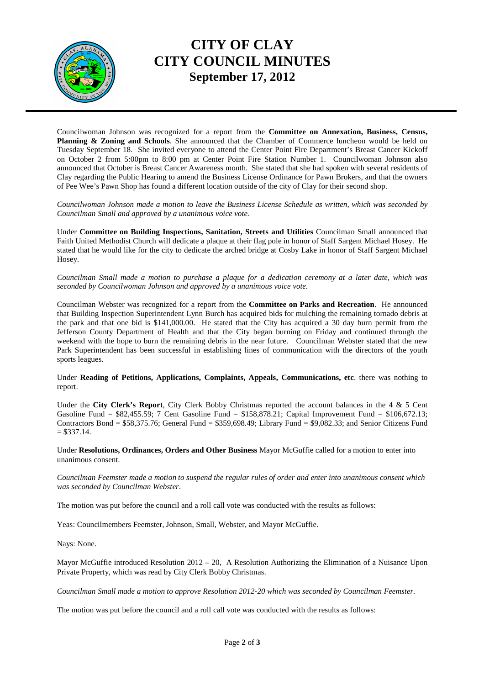

## **CITY OF CLAY CITY COUNCIL MINUTES September 17, 2012**

Councilwoman Johnson was recognized for a report from the **Committee on Annexation, Business, Census, Planning & Zoning and Schools**. She announced that the Chamber of Commerce luncheon would be held on Tuesday September 18. She invited everyone to attend the Center Point Fire Department's Breast Cancer Kickoff on October 2 from 5:00pm to 8:00 pm at Center Point Fire Station Number 1. Councilwoman Johnson also announced that October is Breast Cancer Awareness month. She stated that she had spoken with several residents of Clay regarding the Public Hearing to amend the Business License Ordinance for Pawn Brokers, and that the owners of Pee Wee's Pawn Shop has found a different location outside of the city of Clay for their second shop.

*Councilwoman Johnson made a motion to leave the Business License Schedule as written, which was seconded by Councilman Small and approved by a unanimous voice vote.* 

Under **Committee on Building Inspections, Sanitation, Streets and Utilities** Councilman Small announced that Faith United Methodist Church will dedicate a plaque at their flag pole in honor of Staff Sargent Michael Hosey. He stated that he would like for the city to dedicate the arched bridge at Cosby Lake in honor of Staff Sargent Michael Hosey.

*Councilman Small made a motion to purchase a plaque for a dedication ceremony at a later date, which was seconded by Councilwoman Johnson and approved by a unanimous voice vote.* 

Councilman Webster was recognized for a report from the **Committee on Parks and Recreation**. He announced that Building Inspection Superintendent Lynn Burch has acquired bids for mulching the remaining tornado debris at the park and that one bid is \$141,000.00. He stated that the City has acquired a 30 day burn permit from the Jefferson County Department of Health and that the City began burning on Friday and continued through the weekend with the hope to burn the remaining debris in the near future. Councilman Webster stated that the new Park Superintendent has been successful in establishing lines of communication with the directors of the youth sports leagues.

Under **Reading of Petitions, Applications, Complaints, Appeals, Communications, etc**. there was nothing to report.

Under the **City Clerk's Report**, City Clerk Bobby Christmas reported the account balances in the 4 & 5 Cent Gasoline Fund =  $$82,455.59$ ; 7 Cent Gasoline Fund =  $$158,878.21$ ; Capital Improvement Fund =  $$106,672.13$ ; Contractors Bond = \$58,375.76; General Fund = \$359,698.49; Library Fund = \$9,082.33; and Senior Citizens Fund  $= $337.14.$ 

Under **Resolutions, Ordinances, Orders and Other Business** Mayor McGuffie called for a motion to enter into unanimous consent.

*Councilman Feemster made a motion to suspend the regular rules of order and enter into unanimous consent which was seconded by Councilman Webster*.

The motion was put before the council and a roll call vote was conducted with the results as follows:

Yeas: Councilmembers Feemster, Johnson, Small, Webster, and Mayor McGuffie.

Nays: None.

Mayor McGuffie introduced Resolution 2012 – 20, A Resolution Authorizing the Elimination of a Nuisance Upon Private Property, which was read by City Clerk Bobby Christmas.

*Councilman Small made a motion to approve Resolution 2012-20 which was seconded by Councilman Feemster.* 

The motion was put before the council and a roll call vote was conducted with the results as follows: